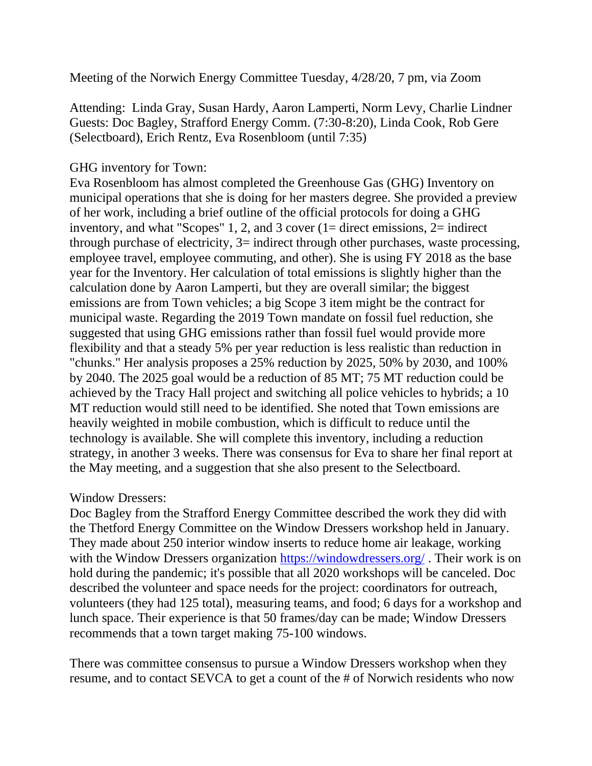Meeting of the Norwich Energy Committee Tuesday, 4/28/20, 7 pm, via Zoom

Attending: Linda Gray, Susan Hardy, Aaron Lamperti, Norm Levy, Charlie Lindner Guests: Doc Bagley, Strafford Energy Comm. (7:30-8:20), Linda Cook, Rob Gere (Selectboard), Erich Rentz, Eva Rosenbloom (until 7:35)

## GHG inventory for Town:

Eva Rosenbloom has almost completed the Greenhouse Gas (GHG) Inventory on municipal operations that she is doing for her masters degree. She provided a preview of her work, including a brief outline of the official protocols for doing a GHG inventory, and what "Scopes" 1, 2, and 3 cover (1= direct emissions, 2= indirect through purchase of electricity, 3= indirect through other purchases, waste processing, employee travel, employee commuting, and other). She is using FY 2018 as the base year for the Inventory. Her calculation of total emissions is slightly higher than the calculation done by Aaron Lamperti, but they are overall similar; the biggest emissions are from Town vehicles; a big Scope 3 item might be the contract for municipal waste. Regarding the 2019 Town mandate on fossil fuel reduction, she suggested that using GHG emissions rather than fossil fuel would provide more flexibility and that a steady 5% per year reduction is less realistic than reduction in "chunks." Her analysis proposes a 25% reduction by 2025, 50% by 2030, and 100% by 2040. The 2025 goal would be a reduction of 85 MT; 75 MT reduction could be achieved by the Tracy Hall project and switching all police vehicles to hybrids; a 10 MT reduction would still need to be identified. She noted that Town emissions are heavily weighted in mobile combustion, which is difficult to reduce until the technology is available. She will complete this inventory, including a reduction strategy, in another 3 weeks. There was consensus for Eva to share her final report at the May meeting, and a suggestion that she also present to the Selectboard.

## Window Dressers:

Doc Bagley from the Strafford Energy Committee described the work they did with the Thetford Energy Committee on the Window Dressers workshop held in January. They made about 250 interior window inserts to reduce home air leakage, working with the Window Dressers organization [https://windowdressers.org/](https://remote.norwich.vt.us/owa/redir.aspx?C=6bad5eccb5064da892b098318bf6068c&URL=https%3a%2f%2fwindowdressers.org%2f). Their work is on hold during the pandemic; it's possible that all 2020 workshops will be canceled. Doc described the volunteer and space needs for the project: coordinators for outreach, volunteers (they had 125 total), measuring teams, and food; 6 days for a workshop and lunch space. Their experience is that 50 frames/day can be made; Window Dressers recommends that a town target making 75-100 windows.

There was committee consensus to pursue a Window Dressers workshop when they resume, and to contact SEVCA to get a count of the # of Norwich residents who now